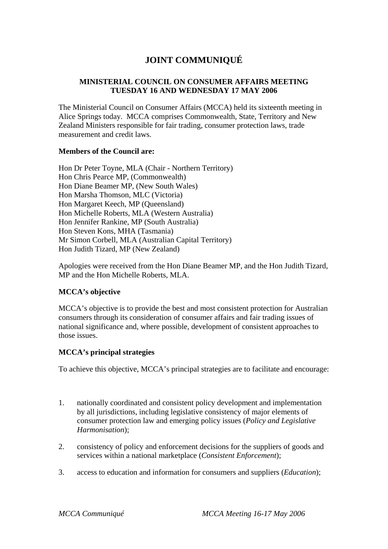# **JOINT COMMUNIQUÉ**

# **MINISTERIAL COUNCIL ON CONSUMER AFFAIRS MEETING TUESDAY 16 AND WEDNESDAY 17 MAY 2006**

The Ministerial Council on Consumer Affairs (MCCA) held its sixteenth meeting in Alice Springs today. MCCA comprises Commonwealth, State, Territory and New Zealand Ministers responsible for fair trading, consumer protection laws, trade measurement and credit laws.

## **Members of the Council are:**

Hon Dr Peter Toyne, MLA (Chair - Northern Territory) Hon Chris Pearce MP, (Commonwealth) Hon Diane Beamer MP, (New South Wales) Hon Marsha Thomson, MLC (Victoria) Hon Margaret Keech, MP (Queensland) Hon Michelle Roberts, MLA (Western Australia) Hon Jennifer Rankine, MP (South Australia) Hon Steven Kons, MHA (Tasmania) Mr Simon Corbell, MLA (Australian Capital Territory) Hon Judith Tizard, MP (New Zealand)

Apologies were received from the Hon Diane Beamer MP, and the Hon Judith Tizard, MP and the Hon Michelle Roberts, MLA.

# **MCCA's objective**

MCCA's objective is to provide the best and most consistent protection for Australian consumers through its consideration of consumer affairs and fair trading issues of national significance and, where possible, development of consistent approaches to those issues.

# **MCCA's principal strategies**

To achieve this objective, MCCA's principal strategies are to facilitate and encourage:

- 1. nationally coordinated and consistent policy development and implementation by all jurisdictions, including legislative consistency of major elements of consumer protection law and emerging policy issues (*Policy and Legislative Harmonisation*);
- 2. consistency of policy and enforcement decisions for the suppliers of goods and services within a national marketplace (*Consistent Enforcement*);
- 3. access to education and information for consumers and suppliers (*Education*);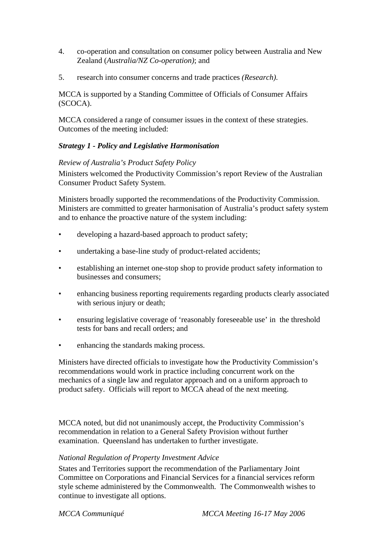- 4. co-operation and consultation on consumer policy between Australia and New Zealand (*Australia/NZ Co-operation)*; and
- 5. research into consumer concerns and trade practices *(Research)*.

MCCA is supported by a Standing Committee of Officials of Consumer Affairs (SCOCA).

MCCA considered a range of consumer issues in the context of these strategies. Outcomes of the meeting included:

# *Strategy 1 - Policy and Legislative Harmonisation*

## *Review of Australia's Product Safety Policy*

Ministers welcomed the Productivity Commission's report Review of the Australian Consumer Product Safety System.

Ministers broadly supported the recommendations of the Productivity Commission. Ministers are committed to greater harmonisation of Australia's product safety system and to enhance the proactive nature of the system including:

- developing a hazard-based approach to product safety;
- undertaking a base-line study of product-related accidents;
- establishing an internet one-stop shop to provide product safety information to businesses and consumers;
- enhancing business reporting requirements regarding products clearly associated with serious injury or death;
- ensuring legislative coverage of 'reasonably foreseeable use' in the threshold tests for bans and recall orders; and
- enhancing the standards making process.

Ministers have directed officials to investigate how the Productivity Commission's recommendations would work in practice including concurrent work on the mechanics of a single law and regulator approach and on a uniform approach to product safety. Officials will report to MCCA ahead of the next meeting.

MCCA noted, but did not unanimously accept, the Productivity Commission's recommendation in relation to a General Safety Provision without further examination. Queensland has undertaken to further investigate.

#### *National Regulation of Property Investment Advice*

States and Territories support the recommendation of the Parliamentary Joint Committee on Corporations and Financial Services for a financial services reform style scheme administered by the Commonwealth. The Commonwealth wishes to continue to investigate all options.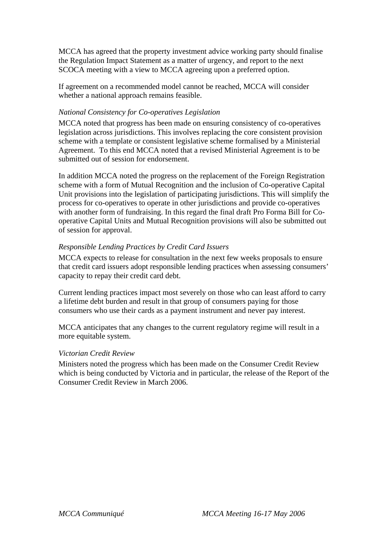MCCA has agreed that the property investment advice working party should finalise the Regulation Impact Statement as a matter of urgency, and report to the next SCOCA meeting with a view to MCCA agreeing upon a preferred option.

If agreement on a recommended model cannot be reached, MCCA will consider whether a national approach remains feasible.

# *National Consistency for Co-operatives Legislation*

MCCA noted that progress has been made on ensuring consistency of co-operatives legislation across jurisdictions. This involves replacing the core consistent provision scheme with a template or consistent legislative scheme formalised by a Ministerial Agreement. To this end MCCA noted that a revised Ministerial Agreement is to be submitted out of session for endorsement.

In addition MCCA noted the progress on the replacement of the Foreign Registration scheme with a form of Mutual Recognition and the inclusion of Co-operative Capital Unit provisions into the legislation of participating jurisdictions. This will simplify the process for co-operatives to operate in other jurisdictions and provide co-operatives with another form of fundraising. In this regard the final draft Pro Forma Bill for Cooperative Capital Units and Mutual Recognition provisions will also be submitted out of session for approval.

#### *Responsible Lending Practices by Credit Card Issuers*

MCCA expects to release for consultation in the next few weeks proposals to ensure that credit card issuers adopt responsible lending practices when assessing consumers' capacity to repay their credit card debt.

Current lending practices impact most severely on those who can least afford to carry a lifetime debt burden and result in that group of consumers paying for those consumers who use their cards as a payment instrument and never pay interest.

MCCA anticipates that any changes to the current regulatory regime will result in a more equitable system.

#### *Victorian Credit Review*

Ministers noted the progress which has been made on the Consumer Credit Review which is being conducted by Victoria and in particular, the release of the Report of the Consumer Credit Review in March 2006.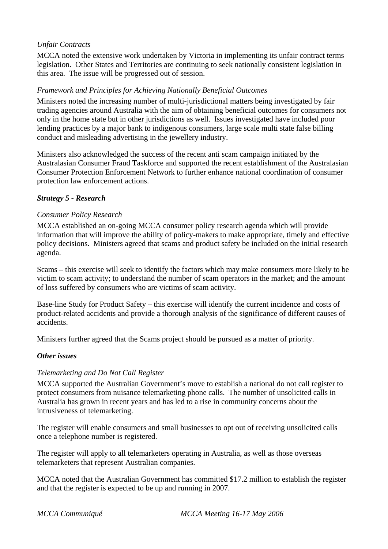# *Unfair Contracts*

MCCA noted the extensive work undertaken by Victoria in implementing its unfair contract terms legislation. Other States and Territories are continuing to seek nationally consistent legislation in this area. The issue will be progressed out of session.

## *Framework and Principles for Achieving Nationally Beneficial Outcomes*

Ministers noted the increasing number of multi-jurisdictional matters being investigated by fair trading agencies around Australia with the aim of obtaining beneficial outcomes for consumers not only in the home state but in other jurisdictions as well. Issues investigated have included poor lending practices by a major bank to indigenous consumers, large scale multi state false billing conduct and misleading advertising in the jewellery industry.

Ministers also acknowledged the success of the recent anti scam campaign initiated by the Australasian Consumer Fraud Taskforce and supported the recent establishment of the Australasian Consumer Protection Enforcement Network to further enhance national coordination of consumer protection law enforcement actions.

## *Strategy 5 - Research*

## *Consumer Policy Research*

MCCA established an on-going MCCA consumer policy research agenda which will provide information that will improve the ability of policy-makers to make appropriate, timely and effective policy decisions. Ministers agreed that scams and product safety be included on the initial research agenda.

Scams – this exercise will seek to identify the factors which may make consumers more likely to be victim to scam activity; to understand the number of scam operators in the market; and the amount of loss suffered by consumers who are victims of scam activity.

Base-line Study for Product Safety – this exercise will identify the current incidence and costs of product-related accidents and provide a thorough analysis of the significance of different causes of accidents.

Ministers further agreed that the Scams project should be pursued as a matter of priority.

#### *Other issues*

#### *Telemarketing and Do Not Call Register*

MCCA supported the Australian Government's move to establish a national do not call register to protect consumers from nuisance telemarketing phone calls. The number of unsolicited calls in Australia has grown in recent years and has led to a rise in community concerns about the intrusiveness of telemarketing.

The register will enable consumers and small businesses to opt out of receiving unsolicited calls once a telephone number is registered.

The register will apply to all telemarketers operating in Australia, as well as those overseas telemarketers that represent Australian companies.

MCCA noted that the Australian Government has committed \$17.2 million to establish the register and that the register is expected to be up and running in 2007.